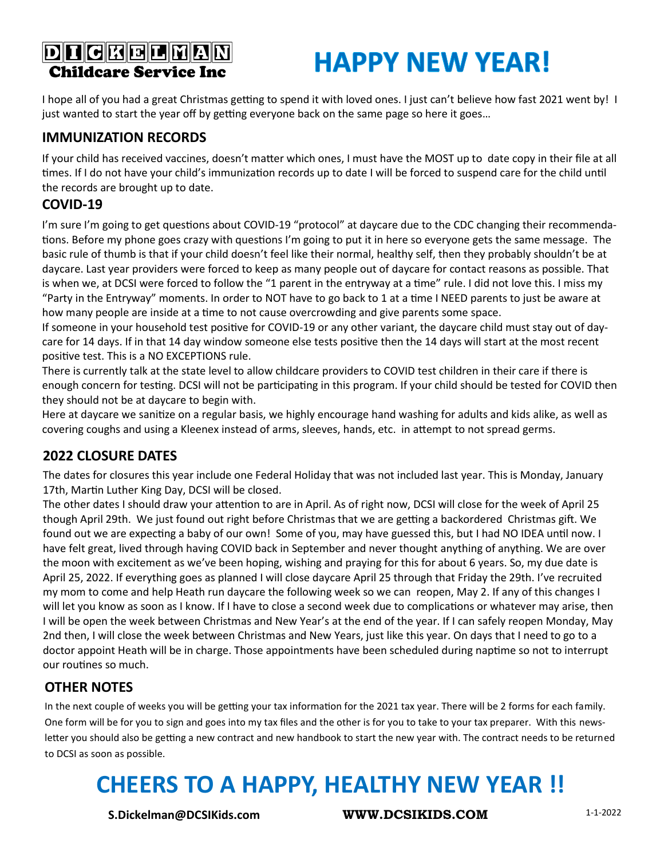#### **DI CKELMAN Childcare Service Inc**

## **HAPPY NEW YEAR!**

I hope all of you had a great Christmas getting to spend it with loved ones. I just can't believe how fast 2021 went by! I just wanted to start the year off by getting everyone back on the same page so here it goes…

#### **IMMUNIZATION RECORDS**

If your child has received vaccines, doesn't matter which ones, I must have the MOST up to date copy in their file at all times. If I do not have your child's immunization records up to date I will be forced to suspend care for the child until the records are brought up to date.

#### **COVID-19**

I'm sure I'm going to get questions about COVID-19 "protocol" at daycare due to the CDC changing their recommendations. Before my phone goes crazy with questions I'm going to put it in here so everyone gets the same message. The basic rule of thumb is that if your child doesn't feel like their normal, healthy self, then they probably shouldn't be at daycare. Last year providers were forced to keep as many people out of daycare for contact reasons as possible. That is when we, at DCSI were forced to follow the "1 parent in the entryway at a time" rule. I did not love this. I miss my "Party in the Entryway" moments. In order to NOT have to go back to 1 at a time I NEED parents to just be aware at how many people are inside at a time to not cause overcrowding and give parents some space.

If someone in your household test positive for COVID-19 or any other variant, the daycare child must stay out of daycare for 14 days. If in that 14 day window someone else tests positive then the 14 days will start at the most recent positive test. This is a NO EXCEPTIONS rule.

There is currently talk at the state level to allow childcare providers to COVID test children in their care if there is enough concern for testing. DCSI will not be participating in this program. If your child should be tested for COVID then they should not be at daycare to begin with.

Here at daycare we sanitize on a regular basis, we highly encourage hand washing for adults and kids alike, as well as covering coughs and using a Kleenex instead of arms, sleeves, hands, etc. in attempt to not spread germs.

#### **2022 CLOSURE DATES**

The dates for closures this year include one Federal Holiday that was not included last year. This is Monday, January 17th, Martin Luther King Day, DCSI will be closed.

The other dates I should draw your attention to are in April. As of right now, DCSI will close for the week of April 25 though April 29th. We just found out right before Christmas that we are getting a backordered Christmas gift. We found out we are expecting a baby of our own! Some of you, may have guessed this, but I had NO IDEA until now. I have felt great, lived through having COVID back in September and never thought anything of anything. We are over the moon with excitement as we've been hoping, wishing and praying for this for about 6 years. So, my due date is April 25, 2022. If everything goes as planned I will close daycare April 25 through that Friday the 29th. I've recruited my mom to come and help Heath run daycare the following week so we can reopen, May 2. If any of this changes I will let you know as soon as I know. If I have to close a second week due to complications or whatever may arise, then I will be open the week between Christmas and New Year's at the end of the year. If I can safely reopen Monday, May 2nd then, I will close the week between Christmas and New Years, just like this year. On days that I need to go to a doctor appoint Heath will be in charge. Those appointments have been scheduled during naptime so not to interrupt our routines so much.

#### **OTHER NOTES**

In the next couple of weeks you will be getting your tax information for the 2021 tax year. There will be 2 forms for each family. One form will be for you to sign and goes into my tax files and the other is for you to take to your tax preparer. With this newsletter you should also be getting a new contract and new handbook to start the new year with. The contract needs to be returned to DCSI as soon as possible.

### **CHEERS TO A HAPPY, HEALTHY NEW YEAR !!**

**S.Dickelman@DCSIKids.com WWW.DCSIKIDS.COM** 1-1-2022